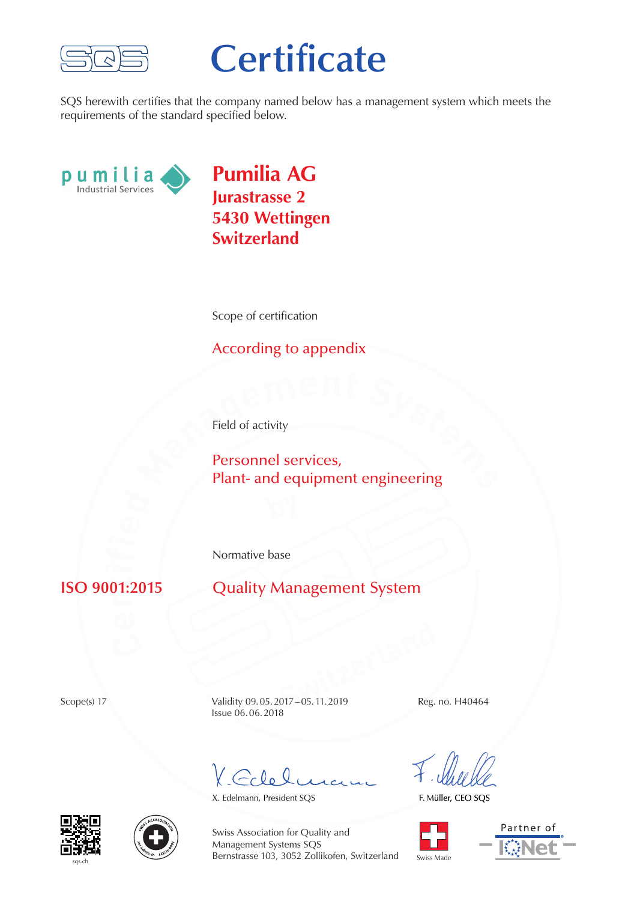

## **Certificate**

SQS herewith certifies that the company named below has a management system which meets the requirements of the standard specified below.



**Pumilia AG Jurastrasse 2 5430 Wettingen Switzerland**

Scope of certification

## According to appendix

Field of activity

**Personnel services,**<br>**Personnel services,**<br>**Plant-** and equipment engineering Personnel services, Plant- and equipment engineering

Normative base

## **r** $n_1$

**Quality Management System** 

**Switzerland**<br> **Switz-05.11.2019**<br>
Reg. Scope(s) 17 Validity 09.05.2017 – 05.11.2019 Reg. no. H40464 Issue 06.06.2018

Colel,

X. Edelmann, President SQS

F. Müller, CEO SQS









Swiss Association for Quality and Management Systems SQS Bernstrasse 103, 3052 Zollikofen, Switzerland